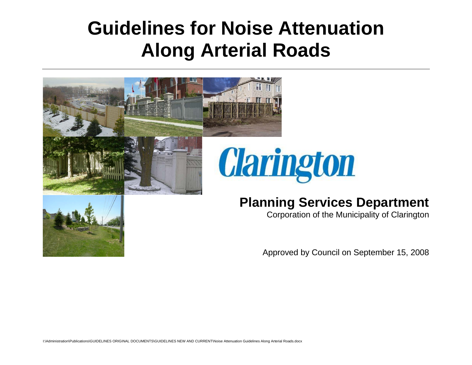# **Guidelines for Noise Attenuation Along Arterial Roads**

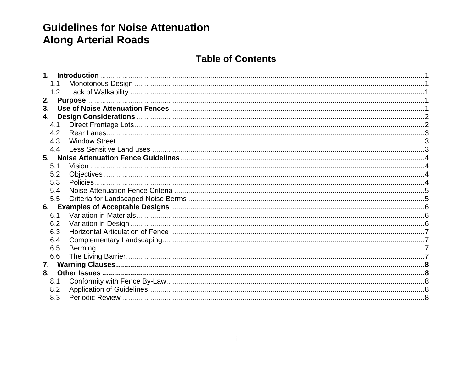# **Guidelines for Noise Attenuation Along Arterial Roads**

## **Table of Contents**

|    | 1.1 |  |
|----|-----|--|
|    | 1.2 |  |
| 2. |     |  |
| 3. |     |  |
| 4. |     |  |
|    | 4.1 |  |
|    | 4.2 |  |
|    | 4.3 |  |
|    | 4.4 |  |
|    |     |  |
|    | 5.1 |  |
|    | 5.2 |  |
|    | 5.3 |  |
|    | 5.4 |  |
|    | 5.5 |  |
|    |     |  |
|    | 6.1 |  |
|    | 6.2 |  |
|    | 6.3 |  |
|    | 6.4 |  |
|    | 6.5 |  |
|    | 6.6 |  |
| 7. |     |  |
| 8. |     |  |
|    | 8.1 |  |
|    | 8.2 |  |
|    | 8.3 |  |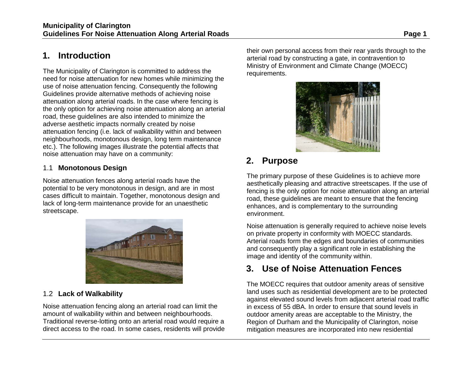# <span id="page-2-0"></span>**1. Introduction**

The Municipality of Clarington is committed to address the need for noise attenuation for new homes while minimizing the use of noise attenuation fencing. Consequently the following Guidelines provide alternative methods of achieving noise attenuation along arterial roads. In the case where fencing is the only option for achieving noise attenuation along an arterial road, these guidelines are also intended to minimize the adverse aesthetic impacts normally created by noise attenuation fencing (i.e. lack of walkability within and between neighbourhoods, monotonous design, long term maintenance etc.). The following images illustrate the potential affects that noise attenuation may have on a community:

#### <span id="page-2-1"></span>1.1 **Monotonous Design**

Noise attenuation fences along arterial roads have the potential to be very monotonous in design, and are in most cases difficult to maintain. Together, monotonous design and lack of long-term maintenance provide for an unaesthetic streetscape.



#### <span id="page-2-2"></span>1.2 **Lack of Walkability**

Noise attenuation fencing along an arterial road can limit the amount of walkability within and between neighbourhoods. Traditional reverse-lotting onto an arterial road would require a direct access to the road. In some cases, residents will provide their own personal access from their rear yards through to the arterial road by constructing a gate, in contravention to Ministry of Environment and Climate Change (MOECC) requirements.



# <span id="page-2-3"></span>**2. Purpose**

The primary purpose of these Guidelines is to achieve more aesthetically pleasing and attractive streetscapes. If the use of fencing is the only option for noise attenuation along an arterial road, these guidelines are meant to ensure that the fencing enhances, and is complementary to the surrounding environment.

Noise attenuation is generally required to achieve noise levels on private property in conformity with MOECC standards. Arterial roads form the edges and boundaries of communities and consequently play a significant role in establishing the image and identity of the community within.

# <span id="page-2-4"></span>**3. Use of Noise Attenuation Fences**

The MOECC requires that outdoor amenity areas of sensitive land uses such as residential development are to be protected against elevated sound levels from adjacent arterial road traffic in excess of 55 dBA. In order to ensure that sound levels in outdoor amenity areas are acceptable to the Ministry, the Region of Durham and the Municipality of Clarington, noise mitigation measures are incorporated into new residential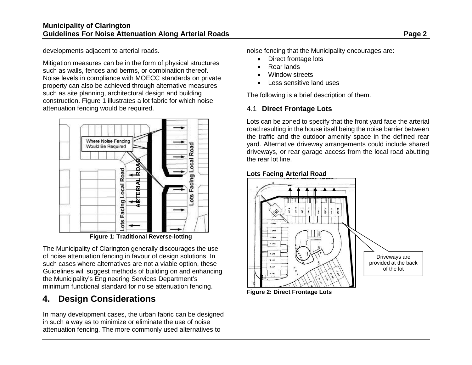developments adjacent to arterial roads.

Mitigation measures can be in the form of physical structures such as walls, fences and berms, or combination thereof. Noise levels in compliance with MOECC standards on private property can also be achieved through alternative measures such as site planning, architectural design and building construction. Figure 1 illustrates a lot fabric for which noise attenuation fencing would be required.



**Figure 1: Traditional Reverse-lotting**

The Municipality of Clarington generally discourages the use of noise attenuation fencing in favour of design solutions. In such cases where alternatives are not a viable option, these Guidelines will suggest methods of building on and enhancing the Municipality's Engineering Services Department's minimum functional standard for noise attenuation fencing.

# <span id="page-3-0"></span>**4. Design Considerations**

In many development cases, the urban fabric can be designed in such a way as to minimize or eliminate the use of noise attenuation fencing. The more commonly used alternatives to

noise fencing that the Municipality encourages are:

- Direct frontage lots
- Rear lands
- Window streets
- Less sensitive land uses

The following is a brief description of them.

## <span id="page-3-1"></span>4.1 **Direct Frontage Lots**

Lots can be zoned to specify that the front yard face the arterial road resulting in the house itself being the noise barrier between the traffic and the outdoor amenity space in the defined rear yard. Alternative driveway arrangements could include shared driveways, or rear garage access from the local road abutting the rear lot line.

#### **Lots Facing Arterial Road**



<span id="page-3-2"></span>**Figure 2: Direct Frontage Lots**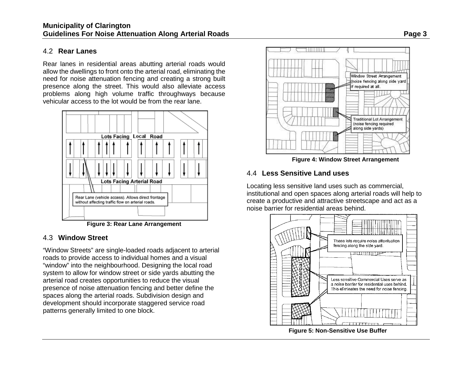#### 4.2 **Rear Lanes**

Rear lanes in residential areas abutting arterial roads would allow the dwellings to front onto the arterial road, eliminating the need for noise attenuation fencing and creating a strong built presence along the street. This would also alleviate access problems along high volume traffic throughways because vehicular access to the lot would be from the rear lane.



**Figure 3: Rear Lane Arrangement**

## <span id="page-4-0"></span>4.3 **Window Street**

"Window Streets" are single-loaded roads adjacent to arterial roads to provide access to individual homes and a visual "window" into the neighbourhood. Designing the local road system to allow for window street or side yards abutting the arterial road creates opportunities to reduce the visual presence of noise attenuation fencing and better define the spaces along the arterial roads. Subdivision design and development should incorporate staggered service road patterns generally limited to one block.



**Figure 4: Window Street Arrangement**

## <span id="page-4-1"></span>4.4 **Less Sensitive Land uses**

Locating less sensitive land uses such as commercial, institutional and open spaces along arterial roads will help to create a productive and attractive streetscape and act as a noise barrier for residential areas behind.



**Figure 5: Non-Sensitive Use Buffer**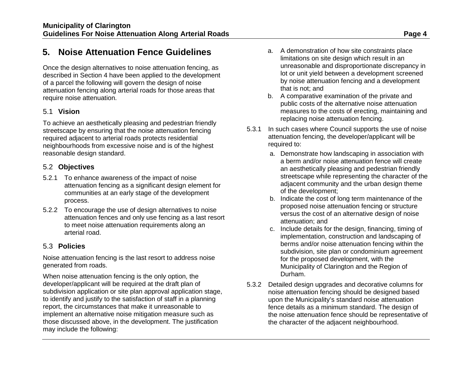# <span id="page-5-0"></span>**5. Noise Attenuation Fence Guidelines**

Once the design alternatives to noise attenuation fencing, as described in Section 4 have been applied to the development of a parcel the following will govern the design of noise attenuation fencing along arterial roads for those areas that require noise attenuation.

#### <span id="page-5-1"></span>5.1 **Vision**

To achieve an aesthetically pleasing and pedestrian friendly streetscape by ensuring that the noise attenuation fencing required adjacent to arterial roads protects residential neighbourhoods from excessive noise and is of the highest reasonable design standard.

#### <span id="page-5-2"></span>5.2 **Objectives**

- 5.2.1 To enhance awareness of the impact of noise attenuation fencing as a significant design element for communities at an early stage of the development process.
- 5.2.2 To encourage the use of design alternatives to noise attenuation fences and only use fencing as a last resort to meet noise attenuation requirements along an arterial road.

#### <span id="page-5-3"></span>5.3 **Policies**

Noise attenuation fencing is the last resort to address noise generated from roads.

When noise attenuation fencing is the only option, the developer/applicant will be required at the draft plan of subdivision application or site plan approval application stage, to identify and justify to the satisfaction of staff in a planning report, the circumstances that make it unreasonable to implement an alternative noise mitigation measure such as those discussed above, in the development. The justification may include the following:

- a. A demonstration of how site constraints place limitations on site design which result in an unreasonable and disproportionate discrepancy in lot or unit yield between a development screened by noise attenuation fencing and a development that is not; and
- b. A comparative examination of the private and public costs of the alternative noise attenuation measures to the costs of erecting, maintaining and replacing noise attenuation fencing.
- 5.3.1 In such cases where Council supports the use of noise attenuation fencing, the developer/applicant will be required to:
	- a. Demonstrate how landscaping in association with a berm and/or noise attenuation fence will create an aesthetically pleasing and pedestrian friendly streetscape while representing the character of the adjacent community and the urban design theme of the development;
	- b. Indicate the cost of long term maintenance of the proposed noise attenuation fencing or structure versus the cost of an alternative design of noise attenuation; and
	- c. Include details for the design, financing, timing of implementation, construction and landscaping of berms and/or noise attenuation fencing within the subdivision, site plan or condominium agreement for the proposed development, with the Municipality of Clarington and the Region of Durham.
- 5.3.2 Detailed design upgrades and decorative columns for noise attenuation fencing should be designed based upon the Municipality's standard noise attenuation fence details as a minimum standard. The design of the noise attenuation fence should be representative of the character of the adjacent neighbourhood.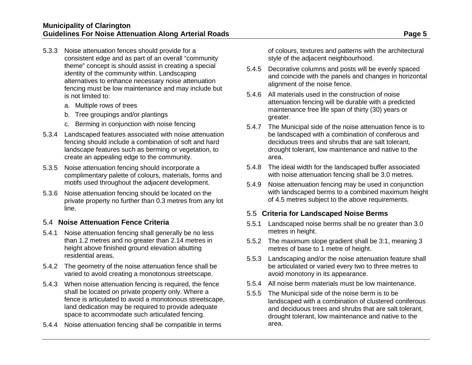- 5.3.3 Noise attenuation fences should provide for a consistent edge and as part of an overall "community theme" concept is should assist in creating a special identity of the community within. Landscaping alternatives to enhance necessary noise attenuation fencing must be low maintenance and may include but is not limited to:
	- a. Multiple rows of trees
	- b. Tree groupings and/or plantings
	- c. Berming in conjunction with noise fencing
- 5.3.4 Landscaped features associated with noise attenuation fencing should include a combination of soft and hard landscape features such as berming or vegetation, to create an appealing edge to the community.
- 5.3.5 Noise attenuation fencing should incorporate a complimentary palette of colours, materials, forms and motifs used throughout the adjacent development.
- 5.3.6 Noise attenuation fencing should be located on the private property no further than 0.3 metres from any lot line.

#### <span id="page-6-0"></span>5.4 **Noise Attenuation Fence Criteria**

- 5.4.1 Noise attenuation fencing shall generally be no less than 1.2 metres and no greater than 2.14 metres in height above finished ground elevation abutting residential areas.
- 5.4.2 The geometry of the noise attenuation fence shall be varied to avoid creating a monotonous streetscape.
- 5.4.3 When noise attenuation fencing is required, the fence shall be located on private property only. Where a fence is articulated to avoid a monotonous streetscape, land dedication may be required to provide adequate space to accommodate such articulated fencing.
- 5.4.4 Noise attenuation fencing shall be compatible in terms

of colours, textures and patterns with the architectural style of the adjacent neighbourhood.

- 5.4.5 Decorative columns and posts will be evenly spaced and coincide with the panels and changes in horizontal alignment of the noise fence.
- 5.4.6 All materials used in the construction of noise attenuation fencing will be durable with a predicted maintenance free life span of thirty (30) years or greater.
- 5.4.7 The Municipal side of the noise attenuation fence is to be landscaped with a combination of coniferous and deciduous trees and shrubs that are salt tolerant, drought tolerant, low maintenance and native to the area.
- 5.4.8 The ideal width for the landscaped buffer associated with noise attenuation fencing shall be 3.0 metres.
- 5.4.9 Noise attenuation fencing may be used in conjunction with landscaped berms to a combined maximum height of 4.5 metres subject to the above requirements.

#### <span id="page-6-1"></span>5.5 **Criteria for Landscaped Noise Berms**

- 5.5.1 Landscaped noise berms shall be no greater than 3.0 metres in height.
- 5.5.2 The maximum slope gradient shall be 3:1, meaning 3 metres of base to 1 metre of height.
- 5.5.3 Landscaping and/or the noise attenuation feature shall be articulated or varied every two to three metres to avoid monotony in its appearance.
- 5.5.4 All noise berm materials must be low maintenance.
- 5.5.5 The Municipal side of the noise berm is to be landscaped with a combination of clustered coniferous and deciduous trees and shrubs that are salt tolerant, drought tolerant, low maintenance and native to the area.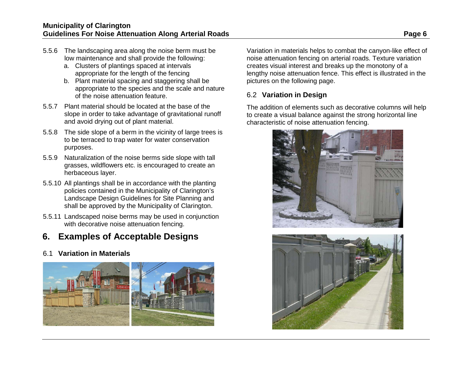- 5.5.6 The landscaping area along the noise berm must be low maintenance and shall provide the following:
	- a. Clusters of plantings spaced at intervals appropriate for the length of the fencing
	- b. Plant material spacing and staggering shall be appropriate to the species and the scale and nature of the noise attenuation feature.
- 5.5.7 Plant material should be located at the base of the slope in order to take advantage of gravitational runoff and avoid drying out of plant material.
- 5.5.8 The side slope of a berm in the vicinity of large trees is to be terraced to trap water for water conservation purposes.
- 5.5.9 Naturalization of the noise berms side slope with tall grasses, wildflowers etc. is encouraged to create an herbaceous layer.
- 5.5.10 All plantings shall be in accordance with the planting policies contained in the Municipality of Clarington's Landscape Design Guidelines for Site Planning and shall be approved by the Municipality of Clarington.
- 5.5.11 Landscaped noise berms may be used in conjunction with decorative noise attenuation fencing.

# <span id="page-7-0"></span>**6. Examples of Acceptable Designs**

## <span id="page-7-1"></span>6.1 **Variation in Materials**



Variation in materials helps to combat the canyon-like effect of noise attenuation fencing on arterial roads. Texture variation creates visual interest and breaks up the monotony of a lengthy noise attenuation fence. This effect is illustrated in the pictures on the following page.

## <span id="page-7-2"></span>6.2 **Variation in Design**

The addition of elements such as decorative columns will help to create a visual balance against the strong horizontal line characteristic of noise attenuation fencing.



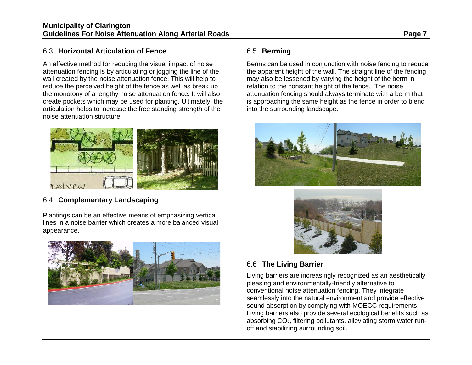#### <span id="page-8-0"></span>6.3 **Horizontal Articulation of Fence**

An effective method for reducing the visual impact of noise attenuation fencing is by articulating or jogging the line of the wall created by the noise attenuation fence. This will help to reduce the perceived height of the fence as well as break up the monotony of a lengthy noise attenuation fence. It will also create pockets which may be used for planting. Ultimately, the articulation helps to increase the free standing strength of the noise attenuation structure.



## <span id="page-8-1"></span>6.4 **Complementary Landscaping**

Plantings can be an effective means of emphasizing vertical lines in a noise barrier which creates a more balanced visual appearance.



## <span id="page-8-2"></span>6.5 **Berming**

Berms can be used in conjunction with noise fencing to reduce the apparent height of the wall. The straight line of the fencing may also be lessened by varying the height of the berm in relation to the constant height of the fence. The noise attenuation fencing should always terminate with a berm that is approaching the same height as the fence in order to blend into the surrounding landscape.





## <span id="page-8-3"></span>6.6 **The Living Barrier**

Living barriers are increasingly recognized as an aesthetically pleasing and environmentally-friendly alternative to conventional noise attenuation fencing. They integrate seamlessly into the natural environment and provide effective sound absorption by complying with MOECC requirements. Living barriers also provide several ecological benefits such as absorbing CO<sub>2</sub>, filtering pollutants, alleviating storm water runoff and stabilizing surrounding soil.